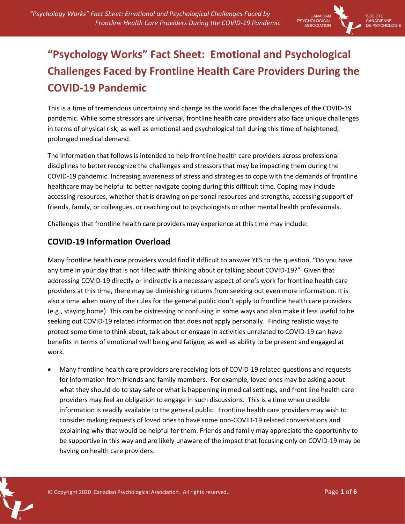

# **"Psychology Works" Fact Sheet: Emotional and Psychological Challenges Faced by Frontline Health Care Providers During the COVID-19 Pandemic**

This is a time of tremendous uncertainty and change as the world faces the challenges of the COVID-19 pandemic. While some stressors are universal, frontline health care providers also face unique challenges in terms of physical risk, as well as emotional and psychological toll during this time of heightened, prolonged medical demand.

The information that follows is intended to help frontline health care providers across professional disciplines to better recognize the challenges and stressors that may be impacting them during the COVID-19 pandemic. Increasing awareness of stress and strategies to cope with the demands of frontline healthcare may be helpful to better navigate coping during this difficult time. Coping may include accessing resources, whether that is drawing on personal resources and strengths, accessing support of friends, family, or colleagues, or reaching out to psychologists or other mental health professionals.

Challenges that frontline health care providers may experience at this time may include:

## **COVID-19 Information Overload**

Many frontline health care providers would find it difficult to answer YES to the question, "Do you have any time in your day that is not filled with thinking about or talking about COVID-19?" Given that addressing COVID-19 directly or indirectly is a necessary aspect of one's work for frontline health care providers at this time, there may be diminishing returns from seeking out even more information. It is also a time when many of the rules for the general public don't apply to frontline health care providers (e.g., staying home). This can be distressing or confusing in some ways and also make it less useful to be seeking out COVID-19 related information that does not apply personally. Finding realistic ways to protect some time to think about, talk about or engage in activities unrelated to COVID-19 can have benefits in terms of emotional well being and fatigue, as well as ability to be present and engaged at work.

 Many frontline health care providers are receiving lots of COVID-19 related questions and requests for information from friends and family members. For example, loved ones may be asking about what they should do to stay safe or what is happening in medical settings, and front line health care providers may feel an obligation to engage in such discussions. This is a time when credible information is readily available to the general public. Frontline health care providers may wish to consider making requests of loved ones to have some non-COVID-19 related conversations and explaining why that would be helpful for them. Friends and family may appreciate the opportunity to be supportive in this way and are likely unaware of the impact that focusing only on COVID-19 may be having on health care providers.

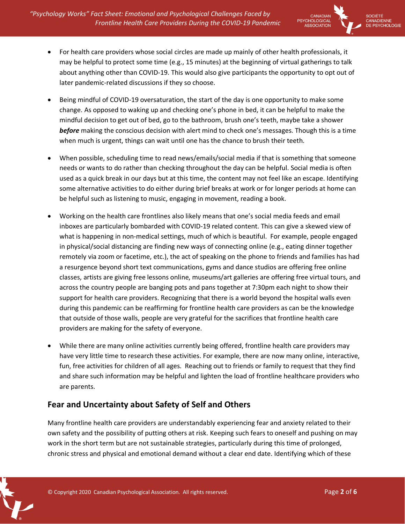

- For health care providers whose social circles are made up mainly of other health professionals, it may be helpful to protect some time (e.g., 15 minutes) at the beginning of virtual gatherings to talk about anything other than COVID-19. This would also give participants the opportunity to opt out of later pandemic-related discussions if they so choose.
- Being mindful of COVID-19 oversaturation, the start of the day is one opportunity to make some change. As opposed to waking up and checking one's phone in bed, it can be helpful to make the mindful decision to get out of bed, go to the bathroom, brush one's teeth, maybe take a shower *before* making the conscious decision with alert mind to check one's messages. Though this is a time when much is urgent, things can wait until one has the chance to brush their teeth.
- When possible, scheduling time to read news/emails/social media if that is something that someone needs or wants to do rather than checking throughout the day can be helpful. Social media is often used as a quick break in our days but at this time, the content may not feel like an escape. Identifying some alternative activities to do either during brief breaks at work or for longer periods at home can be helpful such as listening to music, engaging in movement, reading a book.
- Working on the health care frontlines also likely means that one's social media feeds and email inboxes are particularly bombarded with COVID-19 related content. This can give a skewed view of what is happening in non-medical settings, much of which is beautiful. For example, people engaged in physical/social distancing are finding new ways of connecting online (e.g., eating dinner together remotely via zoom or facetime, etc.), the act of speaking on the phone to friends and families has had a resurgence beyond short text communications, gyms and dance studios are offering free online classes, artists are giving free lessons online, museums/art galleries are offering free virtual tours, and across the country people are banging pots and pans together at 7:30pm each night to show their support for health care providers. Recognizing that there is a world beyond the hospital walls even during this pandemic can be reaffirming for frontline health care providers as can be the knowledge that outside of those walls, people are very grateful for the sacrifices that frontline health care providers are making for the safety of everyone.
- While there are many online activities currently being offered, frontline health care providers may have very little time to research these activities. For example, there are now many online, interactive, fun, free activities for children of all ages. Reaching out to friends or family to request that they find and share such information may be helpful and lighten the load of frontline healthcare providers who are parents.

#### **Fear and Uncertainty about Safety of Self and Others**

Many frontline health care providers are understandably experiencing fear and anxiety related to their own safety and the possibility of putting others at risk. Keeping such fears to oneself and pushing on may work in the short term but are not sustainable strategies, particularly during this time of prolonged, chronic stress and physical and emotional demand without a clear end date. Identifying which of these

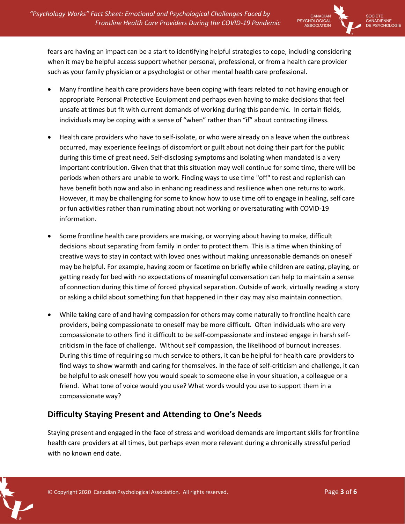

OCIÉTÉ CANADIENNE **PSYCHOLOGIE** 

fears are having an impact can be a start to identifying helpful strategies to cope, including considering when it may be helpful access support whether personal, professional, or from a health care provider such as your family physician or a psychologist or other mental health care professional.

- Many frontline health care providers have been coping with fears related to not having enough or appropriate Personal Protective Equipment and perhaps even having to make decisions that feel unsafe at times but fit with current demands of working during this pandemic. In certain fields, individuals may be coping with a sense of "when" rather than "if" about contracting illness.
- Health care providers who have to self-isolate, or who were already on a leave when the outbreak occurred, may experience feelings of discomfort or guilt about not doing their part for the public during this time of great need. Self-disclosing symptoms and isolating when mandated is a very important contribution. Given that that this situation may well continue for some time, there will be periods when others are unable to work. Finding ways to use time "off" to rest and replenish can have benefit both now and also in enhancing readiness and resilience when one returns to work. However, it may be challenging for some to know how to use time off to engage in healing, self care or fun activities rather than ruminating about not working or oversaturating with COVID-19 information.
- Some frontline health care providers are making, or worrying about having to make, difficult decisions about separating from family in order to protect them. This is a time when thinking of creative ways to stay in contact with loved ones without making unreasonable demands on oneself may be helpful. For example, having zoom or facetime on briefly while children are eating, playing, or getting ready for bed with no expectations of meaningful conversation can help to maintain a sense of connection during this time of forced physical separation. Outside of work, virtually reading a story or asking a child about something fun that happened in their day may also maintain connection.
- While taking care of and having compassion for others may come naturally to frontline health care providers, being compassionate to oneself may be more difficult. Often individuals who are very compassionate to others find it difficult to be self-compassionate and instead engage in harsh selfcriticism in the face of challenge. Without self compassion, the likelihood of burnout increases. During this time of requiring so much service to others, it can be helpful for health care providers to find ways to show warmth and caring for themselves. In the face of self-criticism and challenge, it can be helpful to ask oneself how you would speak to someone else in your situation, a colleague or a friend. What tone of voice would you use? What words would you use to support them in a compassionate way?

## **Difficulty Staying Present and Attending to One's Needs**

Staying present and engaged in the face of stress and workload demands are important skills for frontline health care providers at all times, but perhaps even more relevant during a chronically stressful period with no known end date.

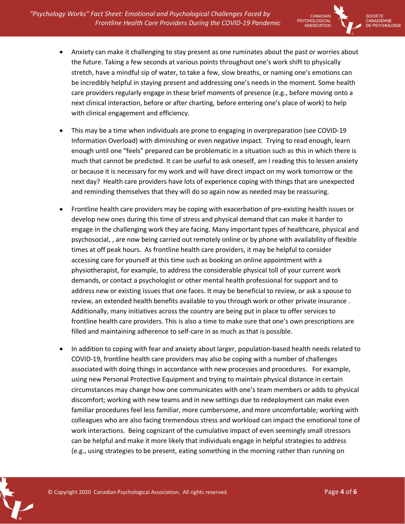*"Psychology Works" Fact Sheet: Emotional and Psychological Challenges Faced by Frontline Health Care Providers During the COVID-19 Pandemic*



OCIÉTÉ CANADIENNE **PSYCHOLOGIE** 

- Anxiety can make it challenging to stay present as one ruminates about the past or worries about the future. Taking a few seconds at various points throughout one's work shift to physically stretch, have a mindful sip of water, to take a few, slow breaths, or naming one's emotions can be incredibly helpful in staying present and addressing one's needs in the moment. Some health care providers regularly engage in these brief moments of presence (e.g., before moving onto a next clinical interaction, before or after charting, before entering one's place of work) to help with clinical engagement and efficiency.
- This may be a time when individuals are prone to engaging in overpreparation (see COVID-19 Information Overload) with diminishing or even negative impact. Trying to read enough, learn enough until one "feels" prepared can be problematic in a situation such as this in which there is much that cannot be predicted. It can be useful to ask oneself, am I reading this to lessen anxiety or because it is necessary for my work and will have direct impact on my work tomorrow or the next day? Health care providers have lots of experience coping with things that are unexpected and reminding themselves that they will do so again now as needed may be reassuring.
- Frontline health care providers may be coping with exacerbation of pre-existing health issues or develop new ones during this time of stress and physical demand that can make it harder to engage in the challenging work they are facing. Many important types of healthcare, physical and psychosocial, , are now being carried out remotely online or by phone with availability of flexible times at off peak hours. As frontline health care providers, it may be helpful to consider accessing care for yourself at this time such as booking an online appointment with a physiotherapist, for example, to address the considerable physical toll of your current work demands, or contact a psychologist or other mental health professional for support and to address new or existing issues that one faces. It may be beneficial to review, or ask a spouse to review, an extended health benefits available to you through work or other private insurance . Additionally, many initiatives across the country are being put in place to offer services to frontline health care providers. This is also a time to make sure that one's own prescriptions are filled and maintaining adherence to self-care in as much as that is possible.
- In addition to coping with fear and anxiety about larger, population-based health needs related to COVID-19, frontline health care providers may also be coping with a number of challenges associated with doing things in accordance with new processes and procedures. For example, using new Personal Protective Equipment and trying to maintain physical distance in certain circumstances may change how one communicates with one's team members or adds to physical discomfort; working with new teams and in new settings due to redeployment can make even familiar procedures feel less familiar, more cumbersome, and more uncomfortable; working with colleagues who are also facing tremendous stress and workload can impact the emotional tone of work interactions. Being cognizant of the cumulative impact of even seemingly small stressors can be helpful and make it more likely that individuals engage in helpful strategies to address (e.g., using strategies to be present, eating something in the morning rather than running on

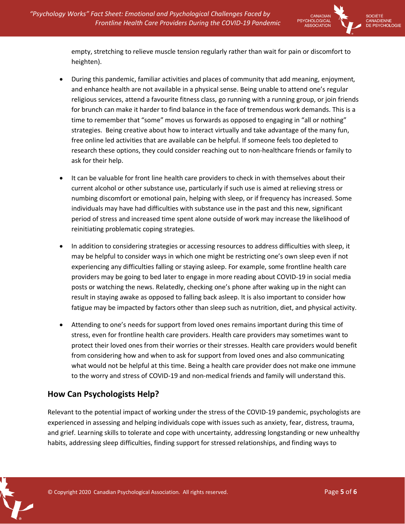

empty, stretching to relieve muscle tension regularly rather than wait for pain or discomfort to heighten).

- During this pandemic, familiar activities and places of community that add meaning, enjoyment, and enhance health are not available in a physical sense. Being unable to attend one's regular religious services, attend a favourite fitness class, go running with a running group, or join friends for brunch can make it harder to find balance in the face of tremendous work demands. This is a time to remember that "some" moves us forwards as opposed to engaging in "all or nothing" strategies. Being creative about how to interact virtually and take advantage of the many fun, free online led activities that are available can be helpful. If someone feels too depleted to research these options, they could consider reaching out to non-healthcare friends or family to ask for their help.
- It can be valuable for front line health care providers to check in with themselves about their current alcohol or other substance use, particularly if such use is aimed at relieving stress or numbing discomfort or emotional pain, helping with sleep, or if frequency has increased. Some individuals may have had difficulties with substance use in the past and this new, significant period of stress and increased time spent alone outside of work may increase the likelihood of reinitiating problematic coping strategies.
- In addition to considering strategies or accessing resources to address difficulties with sleep, it may be helpful to consider ways in which one might be restricting one's own sleep even if not experiencing any difficulties falling or staying asleep. For example, some frontline health care providers may be going to bed later to engage in more reading about COVID-19 in social media posts or watching the news. Relatedly, checking one's phone after waking up in the night can result in staying awake as opposed to falling back asleep. It is also important to consider how fatigue may be impacted by factors other than sleep such as nutrition, diet, and physical activity.
- Attending to one's needs for support from loved ones remains important during this time of stress, even for frontline health care providers. Health care providers may sometimes want to protect their loved ones from their worries or their stresses. Health care providers would benefit from considering how and when to ask for support from loved ones and also communicating what would not be helpful at this time. Being a health care provider does not make one immune to the worry and stress of COVID-19 and non-medical friends and family will understand this.

#### **How Can Psychologists Help?**

Relevant to the potential impact of working under the stress of the COVID-19 pandemic, psychologists are experienced in assessing and helping individuals cope with issues such as anxiety, fear, distress, trauma, and grief. Learning skills to tolerate and cope with uncertainty, addressing longstanding or new unhealthy habits, addressing sleep difficulties, finding support for stressed relationships, and finding ways to